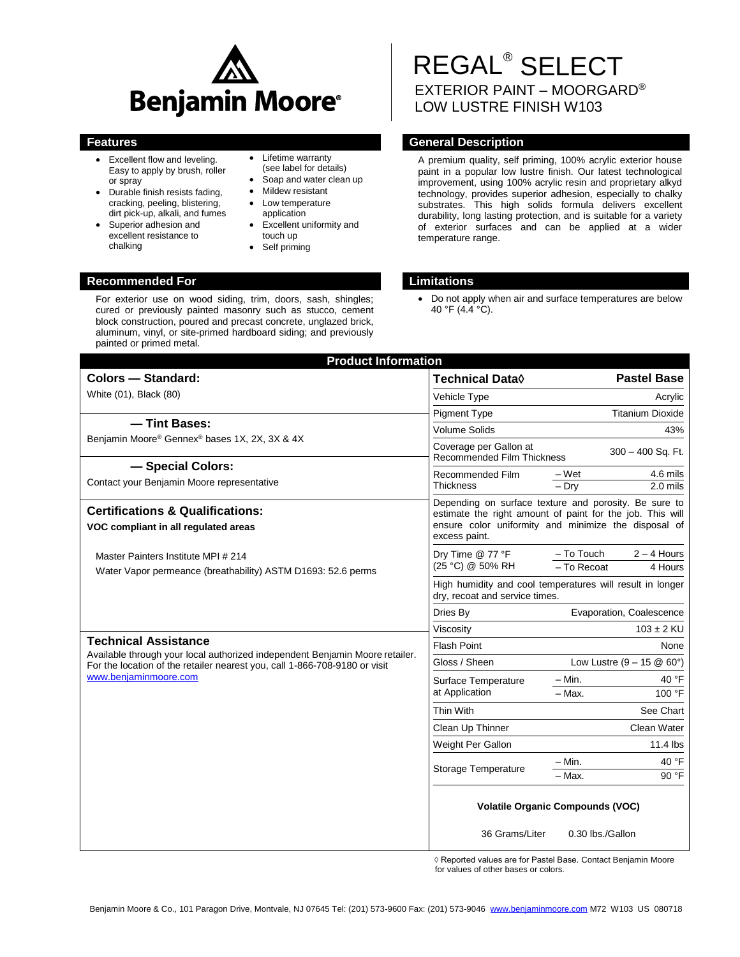

- Excellent flow and leveling. Easy to apply by brush, roller or spray
- Durable finish resists fading, cracking, peeling, blistering, dirt pick-up, alkali, and fumes
- Superior adhesion and excellent resistance to chalking
- Lifetime warranty (see label for details)
- Soap and water clean up
- Mildew resistant
- Low temperature application
- Excellent uniformity and touch up
- Self priming

## **Recommended For Limitations**

For exterior use on wood siding, trim, doors, sash, shingles; cured or previously painted masonry such as stucco, cement block construction, poured and precast concrete, unglazed brick, aluminum, vinyl, or site-primed hardboard siding; and previously painted or primed metal.

# REGAL® SELECT EXTERIOR PAINT – MOORGARD® LOW LUSTRE FINISH W103

## **Features General Description**

A premium quality, self priming, 100% acrylic exterior house paint in a popular low lustre finish. Our latest technological improvement, using 100% acrylic resin and proprietary alkyd technology, provides superior adhesion, especially to chalky substrates. This high solids formula delivers excellent durability, long lasting protection, and is suitable for a variety of exterior surfaces and can be applied at a wider temperature range.

 Do not apply when air and surface temperatures are below 40 °F (4.4 °C).

| <b>Product Information</b>                                                                                  |                                                                                                                                                                                             |  |  |
|-------------------------------------------------------------------------------------------------------------|---------------------------------------------------------------------------------------------------------------------------------------------------------------------------------------------|--|--|
| <b>Colors - Standard:</b>                                                                                   | <b>Technical Data</b> ♦<br><b>Pastel Base</b>                                                                                                                                               |  |  |
| White (01), Black (80)                                                                                      | Vehicle Type<br>Acrylic                                                                                                                                                                     |  |  |
|                                                                                                             | <b>Titanium Dioxide</b><br><b>Pigment Type</b>                                                                                                                                              |  |  |
| -Tint Bases:                                                                                                | <b>Volume Solids</b><br>43%                                                                                                                                                                 |  |  |
| Benjamin Moore® Gennex® bases 1X, 2X, 3X & 4X                                                               | Coverage per Gallon at<br>300 - 400 Sq. Ft.<br><b>Recommended Film Thickness</b>                                                                                                            |  |  |
| - Special Colors:<br>Contact your Benjamin Moore representative                                             | Recommended Film<br>– Wet<br>4.6 mils<br><b>Thickness</b><br>$2.0$ mils<br>$-$ Dry                                                                                                          |  |  |
| <b>Certifications &amp; Qualifications:</b><br>VOC compliant in all regulated areas                         | Depending on surface texture and porosity. Be sure to<br>estimate the right amount of paint for the job. This will<br>ensure color uniformity and minimize the disposal of<br>excess paint. |  |  |
| Master Painters Institute MPI # 214<br>Water Vapor permeance (breathability) ASTM D1693: 52.6 perms         | - To Touch<br>$2 - 4$ Hours<br>Dry Time @ 77 °F<br>(25 °C) @ 50% RH<br>- To Recoat<br>4 Hours                                                                                               |  |  |
|                                                                                                             | High humidity and cool temperatures will result in longer<br>dry, recoat and service times.                                                                                                 |  |  |
|                                                                                                             | Evaporation, Coalescence<br>Dries By                                                                                                                                                        |  |  |
|                                                                                                             | $103 \pm 2$ KU<br>Viscosity                                                                                                                                                                 |  |  |
| <b>Technical Assistance</b><br>Available through your local authorized independent Benjamin Moore retailer. | <b>Flash Point</b><br>None                                                                                                                                                                  |  |  |
| For the location of the retailer nearest you, call 1-866-708-9180 or visit                                  | Gloss / Sheen<br>Low Lustre $(9 - 15 \& 60^{\circ})$                                                                                                                                        |  |  |
| www.benjaminmoore.com                                                                                       | $-$ Min.<br>40 °F<br>Surface Temperature                                                                                                                                                    |  |  |
|                                                                                                             | at Application<br>100 °F<br>$-$ Max.                                                                                                                                                        |  |  |
|                                                                                                             | Thin With<br>See Chart                                                                                                                                                                      |  |  |
|                                                                                                             | Clean Water<br>Clean Up Thinner                                                                                                                                                             |  |  |
|                                                                                                             | $11.4$ lbs<br>Weight Per Gallon                                                                                                                                                             |  |  |
|                                                                                                             | 40 °F<br>- Min.<br>Storage Temperature                                                                                                                                                      |  |  |
|                                                                                                             | 90 °F<br>- Max.                                                                                                                                                                             |  |  |
|                                                                                                             | <b>Volatile Organic Compounds (VOC)</b><br>36 Grams/Liter<br>0.30 lbs./Gallon                                                                                                               |  |  |

◊ Reported values are for Pastel Base. Contact Benjamin Moore for values of other bases or colors.